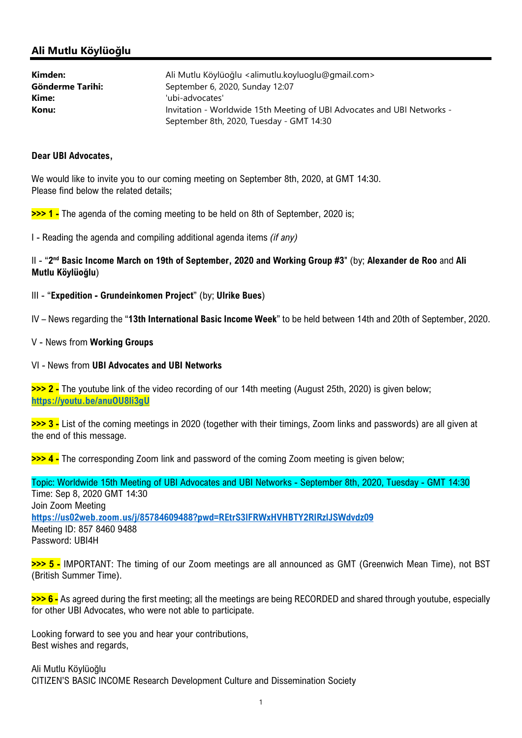## Ali Mutlu Köylüoğlu

| Kimden:          | Ali Mutlu Köylüoğlu <alimutlu.koyluoglu@gmail.com></alimutlu.koyluoglu@gmail.com> |
|------------------|-----------------------------------------------------------------------------------|
| Gönderme Tarihi: | September 6, 2020, Sunday 12:07                                                   |
| Kime:            | 'ubi-advocates'                                                                   |
| Konu:            | Invitation - Worldwide 15th Meeting of UBI Advocates and UBI Networks -           |
|                  | September 8th, 2020, Tuesday - GMT 14:30                                          |

## Dear UBI Advocates,

We would like to invite you to our coming meeting on September 8th, 2020, at GMT 14:30. Please find below the related details;

**>>> 1 -** The agenda of the coming meeting to be held on 8th of September, 2020 is:

I - Reading the agenda and compiling additional agenda items (if any)

II - "2<sup>nd</sup> Basic Income March on 19th of September, 2020 and Working Group #3" (by; Alexander de Roo and Ali Mutlu Köylüoğlu)

III - "Expedition - Grundeinkomen Project" (by; Ulrike Bues)

IV – News regarding the "13th International Basic Income Week" to be held between 14th and 20th of September, 2020.

## V - News from Working Groups

## VI - News from UBI Advocates and UBI Networks

>>> 2 - The youtube link of the video recording of our 14th meeting (August 25th, 2020) is given below; https://youtu.be/anuOU8li3gU

>>> 3 - List of the coming meetings in 2020 (together with their timings, Zoom links and passwords) are all given at the end of this message.

>>> 4 - The corresponding Zoom link and password of the coming Zoom meeting is given below;

Topic: Worldwide 15th Meeting of UBI Advocates and UBI Networks - September 8th, 2020, Tuesday - GMT 14:30 Time: Sep 8, 2020 GMT 14:30 Join Zoom Meeting https://us02web.zoom.us/j/85784609488?pwd=REtrS3lFRWxHVHBTY2RlRzlJSWdvdz09 Meeting ID: 857 8460 9488 Password: UBI4H

>>> 5 - IMPORTANT: The timing of our Zoom meetings are all announced as GMT (Greenwich Mean Time), not BST (British Summer Time).

>>> 6 - As agreed during the first meeting; all the meetings are being RECORDED and shared through youtube, especially for other UBI Advocates, who were not able to participate.

Looking forward to see you and hear your contributions, Best wishes and regards,

Ali Mutlu Köylüoğlu CITIZEN'S BASIC INCOME Research Development Culture and Dissemination Society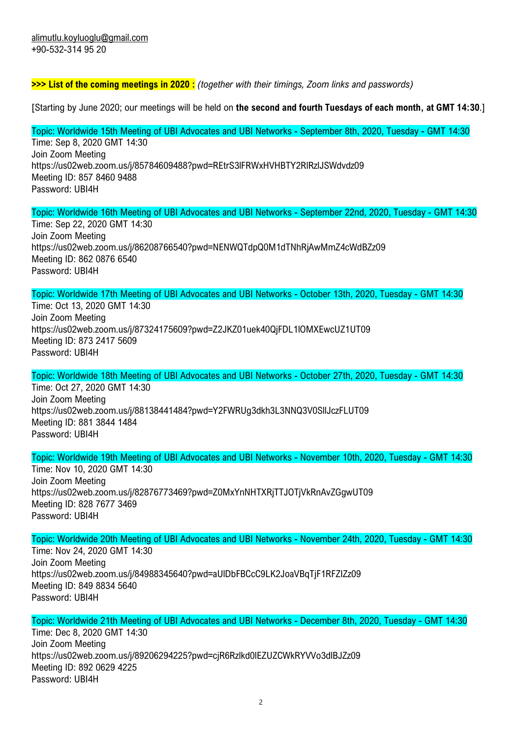**>>> List of the coming meetings in 2020**: (together with their timings, Zoom links and passwords)

[Starting by June 2020; our meetings will be held on the second and fourth Tuesdays of each month, at GMT 14:30.]

Topic: Worldwide 15th Meeting of UBI Advocates and UBI Networks - September 8th, 2020, Tuesday - GMT 14:30 Time: Sep 8, 2020 GMT 14:30 Join Zoom Meeting https://us02web.zoom.us/j/85784609488?pwd=REtrS3lFRWxHVHBTY2RlRzlJSWdvdz09 Meeting ID: 857 8460 9488 Password: UBI4H

Topic: Worldwide 16th Meeting of UBI Advocates and UBI Networks - September 22nd, 2020, Tuesday - GMT 14:30 Time: Sep 22, 2020 GMT 14:30 Join Zoom Meeting https://us02web.zoom.us/j/86208766540?pwd=NENWQTdpQ0M1dTNhRjAwMmZ4cWdBZz09 Meeting ID: 862 0876 6540 Password: UBI4H

Topic: Worldwide 17th Meeting of UBI Advocates and UBI Networks - October 13th, 2020, Tuesday - GMT 14:30

Time: Oct 13, 2020 GMT 14:30 Join Zoom Meeting https://us02web.zoom.us/j/87324175609?pwd=Z2JKZ01uek40QjFDL1lOMXEwcUZ1UT09 Meeting ID: 873 2417 5609 Password: UBI4H

Topic: Worldwide 18th Meeting of UBI Advocates and UBI Networks - October 27th, 2020, Tuesday - GMT 14:30 Time: Oct 27, 2020 GMT 14:30 Join Zoom Meeting https://us02web.zoom.us/j/88138441484?pwd=Y2FWRUg3dkh3L3NNQ3V0SllJczFLUT09 Meeting ID: 881 3844 1484 Password: UBI4H

Topic: Worldwide 19th Meeting of UBI Advocates and UBI Networks - November 10th, 2020, Tuesday - GMT 14:30

Time: Nov 10, 2020 GMT 14:30 Join Zoom Meeting https://us02web.zoom.us/j/82876773469?pwd=Z0MxYnNHTXRjTTJOTjVkRnAvZGgwUT09 Meeting ID: 828 7677 3469 Password: UBI4H

Topic: Worldwide 20th Meeting of UBI Advocates and UBI Networks - November 24th, 2020, Tuesday - GMT 14:30

Time: Nov 24, 2020 GMT 14:30 Join Zoom Meeting https://us02web.zoom.us/j/84988345640?pwd=aUlDbFBCcC9LK2JoaVBqTjF1RFZIZz09 Meeting ID: 849 8834 5640 Password: UBI4H

Topic: Worldwide 21th Meeting of UBI Advocates and UBI Networks - December 8th, 2020, Tuesday - GMT 14:30 Time: Dec 8, 2020 GMT 14:30 Join Zoom Meeting https://us02web.zoom.us/j/89206294225?pwd=cjR6Rzlkd0lEZUZCWkRYVVo3dlBJZz09 Meeting ID: 892 0629 4225 Password: UBI4H